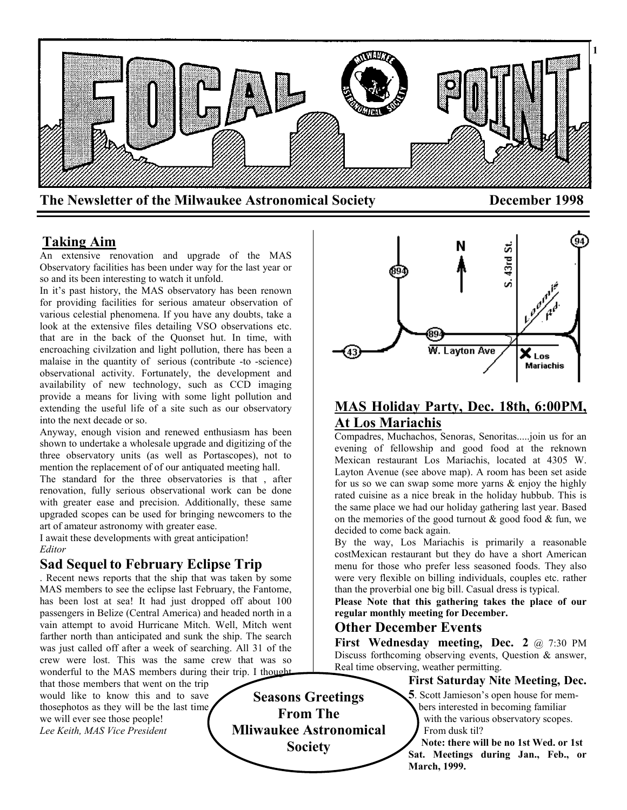

## **Taking Aim**

An extensive renovation and upgrade of the MAS Observatory facilities has been under way for the last year or so and its been interesting to watch it unfold.

In it's past history, the MAS observatory has been renown for providing facilities for serious amateur observation of various celestial phenomena. If you have any doubts, take a look at the extensive files detailing VSO observations etc. that are in the back of the Quonset hut. In time, with encroaching civilzation and light pollution, there has been a malaise in the quantity of serious (contribute -to -science) observational activity. Fortunately, the development and availability of new technology, such as CCD imaging provide a means for living with some light pollution and extending the useful life of a site such as our observatory into the next decade or so.

Anyway, enough vision and renewed enthusiasm has been shown to undertake a wholesale upgrade and digitizing of the three observatory units (as well as Portascopes), not to mention the replacement of of our antiquated meeting hall.

The standard for the three observatories is that , after renovation, fully serious observational work can be done with greater ease and precision. Additionally, these same upgraded scopes can be used for bringing newcomers to the art of amateur astronomy with greater ease.

I await these developments with great anticipation! *Editor*

## **Sad Sequel to February Eclipse Trip**

. Recent news reports that the ship that was taken by some MAS members to see the eclipse last February, the Fantome, has been lost at sea! It had just dropped off about 100 passengers in Belize (Central America) and headed north in a vain attempt to avoid Hurricane Mitch. Well, Mitch went farther north than anticipated and sunk the ship. The search was just called off after a week of searching. All 31 of the crew were lost. This was the same crew that was so wonderful to the MAS members during their trip. I thought

that those members that went on the trip would like to know this and to save thosephotos as they will be the last time we will ever see those people! *Lee Keith, MAS Vice President*



## **MAS Holiday Party, Dec. 18th, 6:00PM, At Los Mariachis**

Compadres, Muchachos, Senoras, Senoritas.....join us for an evening of fellowship and good food at the reknown Mexican restaurant Los Mariachis, located at 4305 W. Layton Avenue (see above map). A room has been set aside for us so we can swap some more yarns & enjoy the highly rated cuisine as a nice break in the holiday hubbub. This is the same place we had our holiday gathering last year. Based on the memories of the good turnout  $\&$  good food  $\&$  fun, we decided to come back again.

By the way, Los Mariachis is primarily a reasonable costMexican restaurant but they do have a short American menu for those who prefer less seasoned foods. They also were very flexible on billing individuals, couples etc. rather than the proverbial one big bill. Casual dress is typical.

**Please Note that this gathering takes the place of our regular monthly meeting for December.**

### **Other December Events**

First Wednesday meeting, Dec. 2 @ 7:30 PM Discuss forthcoming observing events, Question & answer, Real time observing, weather permitting.

## **First Saturday Nite Meeting, Dec.**

**5**. Scott Jamieson's open house for mem bers interested in becoming familiar with the various observatory scopes. From dusk til?

 **Note: there will be no 1st Wed. or 1st Sat. Meetings during Jan., Feb., or March, 1999.**

**Seasons Greetings From The Mliwaukee Astronomical Society**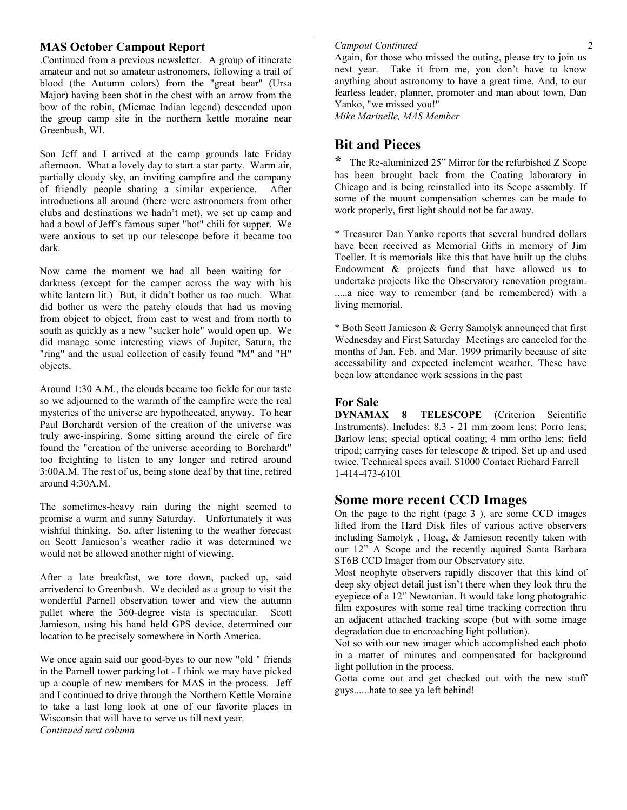### **MAS October Campout Report**

.Continued from a previous newsletter. A group of itinerate amateur and not so amateur astronomers, following a trail of blood (the Autumn colors) from the "great bear" (Ursa Major) having been shot in the chest with an arrow from the bow of the robin, (Micmac Indian legend) descended upon the group camp site in the northern kettle moraine near Greenbush, WI.

Son Jeff and I arrived at the camp grounds late Friday afternoon. What a lovely day to start a star party. Warm air, partially cloudy sky, an inviting campfire and the company of friendly people sharing a similar experience. After introductions all around (there were astronomers from other clubs and destinations we hadn't met), we set up camp and had a bowl of Jeff's famous super "hot" chili for supper. We were anxious to set up our telescope before it became too dark.

Now came the moment we had all been waiting for – darkness (except for the camper across the way with his white lantern lit.) But, it didn't bother us too much. What did bother us were the patchy clouds that had us moving from object to object, from east to west and from north to south as quickly as a new "sucker hole" would open up. We did manage some interesting views of Jupiter, Saturn, the "ring" and the usual collection of easily found "M" and "H" objects.

Around 1:30 A.M., the clouds became too fickle for our taste so we adjourned to the warmth of the campfire were the real mysteries of the universe are hypothecated, anyway. To hear Paul Borchardt version of the creation of the universe was truly awe-inspiring. Some sitting around the circle of fire found the "creation of the universe according to Borchardt" too freighting to listen to any longer and retired around 3:00A.M. The rest of us, being stone deaf by that tine, retired around 4:30A.M.

The sometimes-heavy rain during the night seemed to promise a warm and sunny Saturday. Unfortunately it was wishful thinking. So, after listening to the weather forecast on Scott Jamieson's weather radio it was determined we would not be allowed another night of viewing.

After a late breakfast, we tore down, packed up, said arrivederci to Greenbush. We decided as a group to visit the wonderful Parnell observation tower and view the autumn pallet where the 360-degree vista is spectacular. Scott Jamieson, using his hand held GPS device, determined our location to be precisely somewhere in North America.

We once again said our good-byes to our now "old " friends in the Parnell tower parking lot - I think we may have picked up a couple of new members for MAS in the process. Jeff and I continued to drive through the Northern Kettle Moraine to take a last long look at one of our favorite places in Wisconsin that will have to serve us till next year. *Continued next column*

### *Campout Continued*

Again, for those who missed the outing, please try to join us next year. Take it from me, you don't have to know anything about astronomy to have a great time. And, to our fearless leader, planner, promoter and man about town, Dan Yanko, "we missed you!"

*Mike Marinelle, MAS Member*

## **Bit and Pieces**

**\*** The Re-aluminized 25" Mirror for the refurbished Z Scope has been brought back from the Coating laboratory in Chicago and is being reinstalled into its Scope assembly. If some of the mount compensation schemes can be made to work properly, first light should not be far away.

\* Treasurer Dan Yanko reports that several hundred dollars have been received as Memorial Gifts in memory of Jim Toeller. It is memorials like this that have built up the clubs Endowment & projects fund that have allowed us to undertake projects like the Observatory renovation program. .....a nice way to remember (and be remembered) with a living memorial.

\* Both Scott Jamieson & Gerry Samolyk announced that first Wednesday and First Saturday Meetings are canceled for the months of Jan. Feb. and Mar. 1999 primarily because of site accessability and expected inclement weather. These have been low attendance work sessions in the past

### **For Sale**

**DYNAMAX 8 TELESCOPE** (Criterion Scientific Instruments). Includes: 8.3 - 21 mm zoom lens; Porro lens; Barlow lens; special optical coating; 4 mm ortho lens; field tripod; carrying cases for telescope & tripod. Set up and used twice. Technical specs avail. \$1000 Contact Richard Farrell 1-414-473-6101

## **Some more recent CCD Images**

On the page to the right (page 3 ), are some CCD images lifted from the Hard Disk files of various active observers including Samolyk , Hoag, & Jamieson recently taken with our 12" A Scope and the recently aquired Santa Barbara ST6B CCD Imager from our Observatory site.

Most neophyte observers rapidly discover that this kind of deep sky object detail just isn't there when they look thru the eyepiece of a 12" Newtonian. It would take long photograhic film exposures with some real time tracking correction thru an adjacent attached tracking scope (but with some image degradation due to encroaching light pollution).

Not so with our new imager which accomplished each photo in a matter of minutes and compensated for background light pollution in the process.

Gotta come out and get checked out with the new stuff guys......hate to see ya left behind!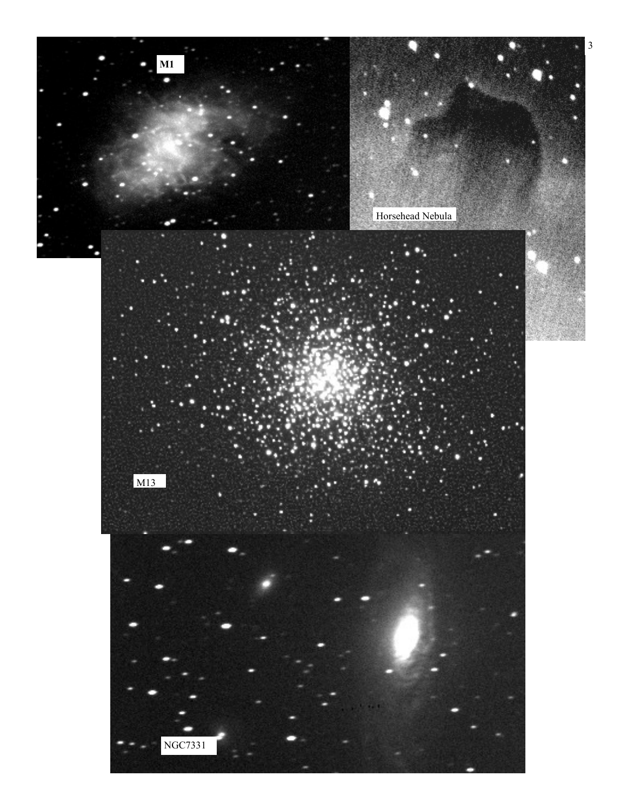